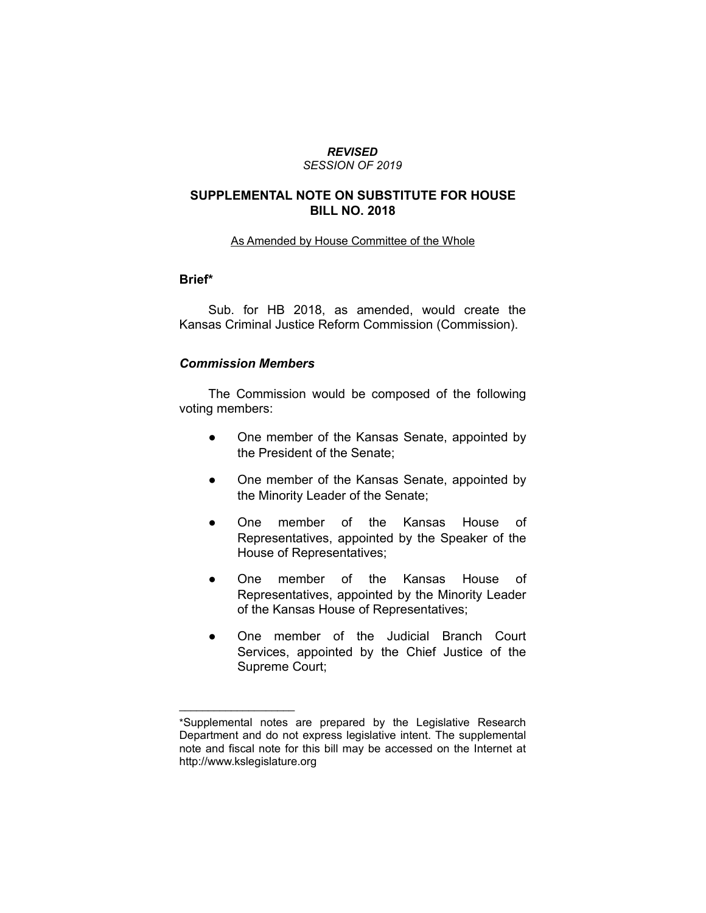#### *REVISED SESSION OF 2019*

### **SUPPLEMENTAL NOTE ON SUBSTITUTE FOR HOUSE BILL NO. 2018**

As Amended by House Committee of the Whole

## **Brief\***

Sub. for HB 2018, as amended, would create the Kansas Criminal Justice Reform Commission (Commission).

### *Commission Members*

 $\overline{\phantom{a}}$  , where  $\overline{\phantom{a}}$ 

The Commission would be composed of the following voting members:

- One member of the Kansas Senate, appointed by the President of the Senate;
- One member of the Kansas Senate, appointed by the Minority Leader of the Senate;
- One member of the Kansas House of Representatives, appointed by the Speaker of the House of Representatives;
- One member of the Kansas House of Representatives, appointed by the Minority Leader of the Kansas House of Representatives;
- One member of the Judicial Branch Court Services, appointed by the Chief Justice of the Supreme Court;

<sup>\*</sup>Supplemental notes are prepared by the Legislative Research Department and do not express legislative intent. The supplemental note and fiscal note for this bill may be accessed on the Internet at http://www.kslegislature.org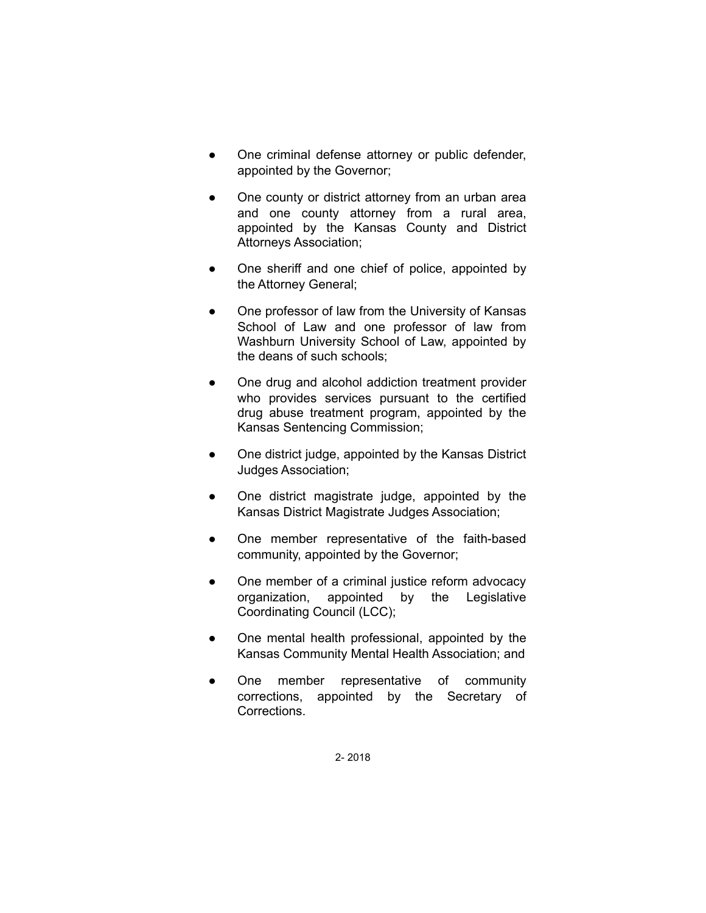- One criminal defense attorney or public defender, appointed by the Governor;
- One county or district attorney from an urban area and one county attorney from a rural area, appointed by the Kansas County and District Attorneys Association;
- One sheriff and one chief of police, appointed by the Attorney General;
- One professor of law from the University of Kansas School of Law and one professor of law from Washburn University School of Law, appointed by the deans of such schools;
- One drug and alcohol addiction treatment provider who provides services pursuant to the certified drug abuse treatment program, appointed by the Kansas Sentencing Commission;
- One district judge, appointed by the Kansas District Judges Association;
- One district magistrate judge, appointed by the Kansas District Magistrate Judges Association;
- One member representative of the faith-based community, appointed by the Governor;
- One member of a criminal justice reform advocacy organization, appointed by the Legislative Coordinating Council (LCC);
- One mental health professional, appointed by the Kansas Community Mental Health Association; and
- One member representative of community corrections, appointed by the Secretary of Corrections.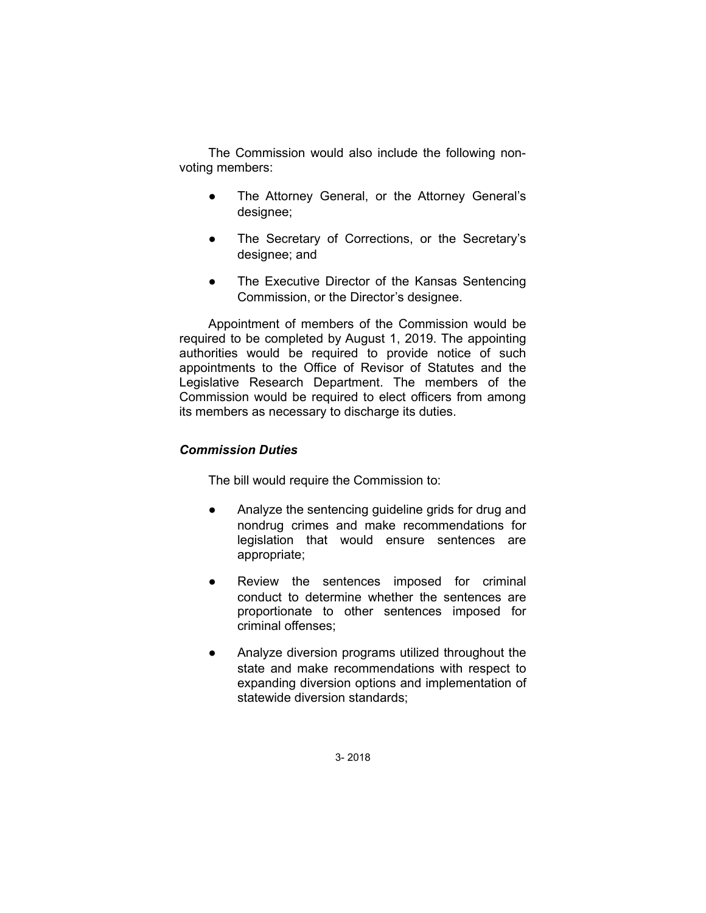The Commission would also include the following nonvoting members:

- The Attorney General, or the Attorney General's designee;
- The Secretary of Corrections, or the Secretary's designee; and
- The Executive Director of the Kansas Sentencing Commission, or the Director's designee.

Appointment of members of the Commission would be required to be completed by August 1, 2019. The appointing authorities would be required to provide notice of such appointments to the Office of Revisor of Statutes and the Legislative Research Department. The members of the Commission would be required to elect officers from among its members as necessary to discharge its duties.

# *Commission Duties*

The bill would require the Commission to:

- Analyze the sentencing guideline grids for drug and nondrug crimes and make recommendations for legislation that would ensure sentences are appropriate;
- Review the sentences imposed for criminal conduct to determine whether the sentences are proportionate to other sentences imposed for criminal offenses;
- Analyze diversion programs utilized throughout the state and make recommendations with respect to expanding diversion options and implementation of statewide diversion standards;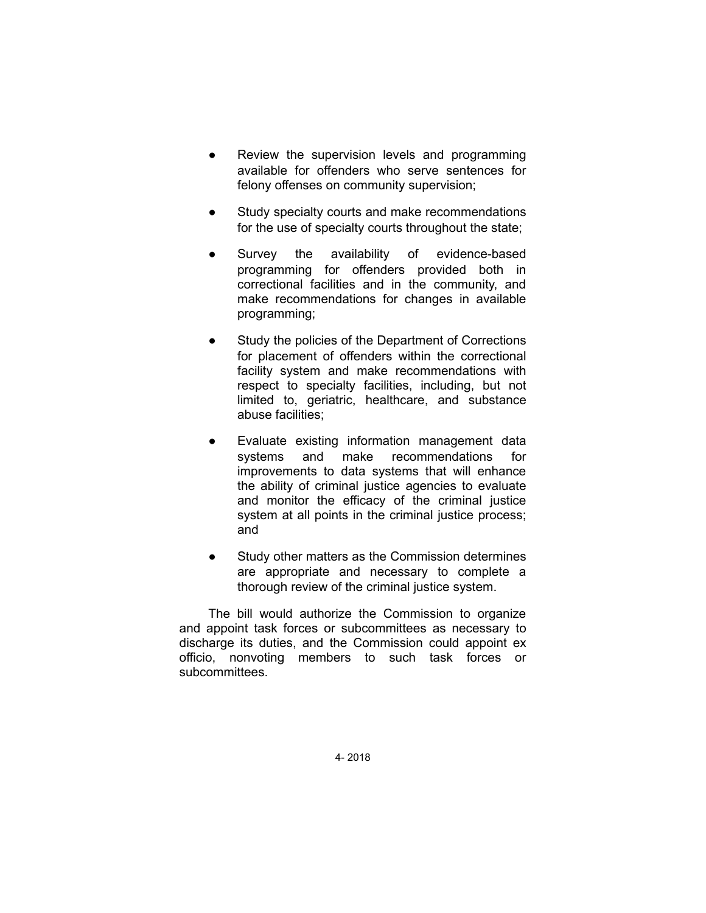- Review the supervision levels and programming available for offenders who serve sentences for felony offenses on community supervision;
- Study specialty courts and make recommendations for the use of specialty courts throughout the state;
- Survey the availability of evidence-based programming for offenders provided both in correctional facilities and in the community, and make recommendations for changes in available programming;
- Study the policies of the Department of Corrections for placement of offenders within the correctional facility system and make recommendations with respect to specialty facilities, including, but not limited to, geriatric, healthcare, and substance abuse facilities;
- Evaluate existing information management data systems and make recommendations for improvements to data systems that will enhance the ability of criminal justice agencies to evaluate and monitor the efficacy of the criminal justice system at all points in the criminal justice process; and
- Study other matters as the Commission determines are appropriate and necessary to complete a thorough review of the criminal justice system.

The bill would authorize the Commission to organize and appoint task forces or subcommittees as necessary to discharge its duties, and the Commission could appoint ex officio, nonvoting members to such task forces or subcommittees.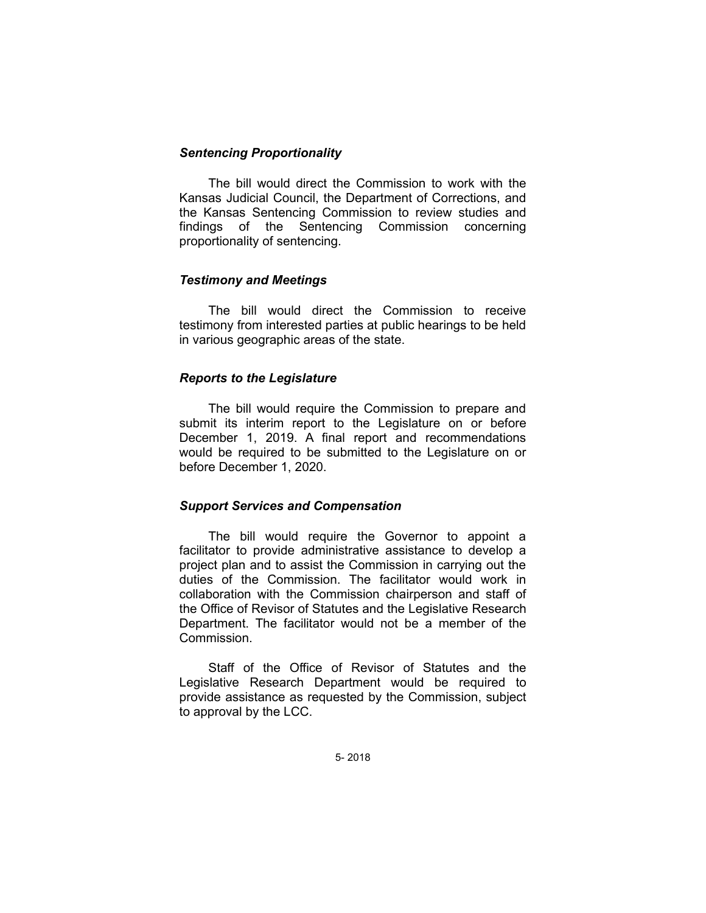### *Sentencing Proportionality*

The bill would direct the Commission to work with the Kansas Judicial Council, the Department of Corrections, and the Kansas Sentencing Commission to review studies and findings of the Sentencing Commission concerning proportionality of sentencing.

# *Testimony and Meetings*

The bill would direct the Commission to receive testimony from interested parties at public hearings to be held in various geographic areas of the state.

# *Reports to the Legislature*

The bill would require the Commission to prepare and submit its interim report to the Legislature on or before December 1, 2019. A final report and recommendations would be required to be submitted to the Legislature on or before December 1, 2020.

### *Support Services and Compensation*

The bill would require the Governor to appoint a facilitator to provide administrative assistance to develop a project plan and to assist the Commission in carrying out the duties of the Commission. The facilitator would work in collaboration with the Commission chairperson and staff of the Office of Revisor of Statutes and the Legislative Research Department. The facilitator would not be a member of the Commission.

Staff of the Office of Revisor of Statutes and the Legislative Research Department would be required to provide assistance as requested by the Commission, subject to approval by the LCC.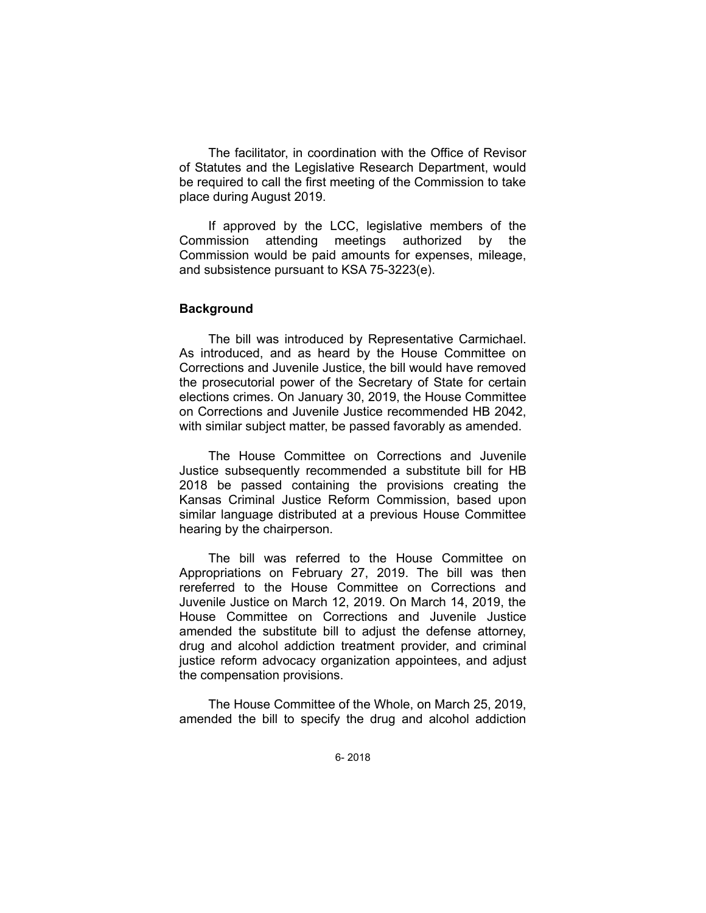The facilitator, in coordination with the Office of Revisor of Statutes and the Legislative Research Department, would be required to call the first meeting of the Commission to take place during August 2019.

If approved by the LCC, legislative members of the Commission attending meetings authorized by the Commission would be paid amounts for expenses, mileage, and subsistence pursuant to KSA 75-3223(e).

#### **Background**

The bill was introduced by Representative Carmichael. As introduced, and as heard by the House Committee on Corrections and Juvenile Justice, the bill would have removed the prosecutorial power of the Secretary of State for certain elections crimes. On January 30, 2019, the House Committee on Corrections and Juvenile Justice recommended HB 2042, with similar subject matter, be passed favorably as amended.

The House Committee on Corrections and Juvenile Justice subsequently recommended a substitute bill for HB 2018 be passed containing the provisions creating the Kansas Criminal Justice Reform Commission, based upon similar language distributed at a previous House Committee hearing by the chairperson.

The bill was referred to the House Committee on Appropriations on February 27, 2019. The bill was then rereferred to the House Committee on Corrections and Juvenile Justice on March 12, 2019. On March 14, 2019, the House Committee on Corrections and Juvenile Justice amended the substitute bill to adjust the defense attorney, drug and alcohol addiction treatment provider, and criminal justice reform advocacy organization appointees, and adjust the compensation provisions.

The House Committee of the Whole, on March 25, 2019, amended the bill to specify the drug and alcohol addiction